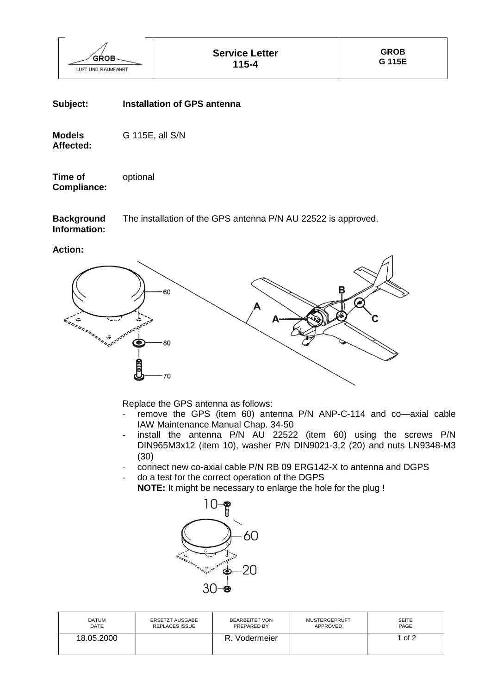

## **Subject: Installation of GPS antenna**

**Models** G 115E, all S/N **Affected:**

**Time of** optional **Compliance:**

**Background** The installation of the GPS antenna P/N AU 22522 is approved. **Information:**

**Action:**



Replace the GPS antenna as follows:

- remove the GPS (item 60) antenna P/N ANP-C-114 and co-axial cable IAW Maintenance Manual Chap. 34-50
- install the antenna P/N AU 22522 (item 60) using the screws P/N DIN965M3x12 (item 10), washer P/N DIN9021-3,2 (20) and nuts LN9348-M3 (30)
- connect new co-axial cable P/N RB 09 ERG142-X to antenna and DGPS
- do a test for the correct operation of the DGPS
	- **NOTE:** It might be necessary to enlarge the hole for the plug !



| <b>DATUM</b> | <b>ERSETZT AUSGABE</b> | <b>BEARBEITET VON</b> | MUSTERGEPRÜFT | <b>SEITE</b> |
|--------------|------------------------|-----------------------|---------------|--------------|
| DATE         | <b>REPLACES ISSUE</b>  | PREPARED BY           | APPROVED      | PAGE         |
| 18.05.2000   |                        | Vodermeier<br>R.      |               | of 2         |